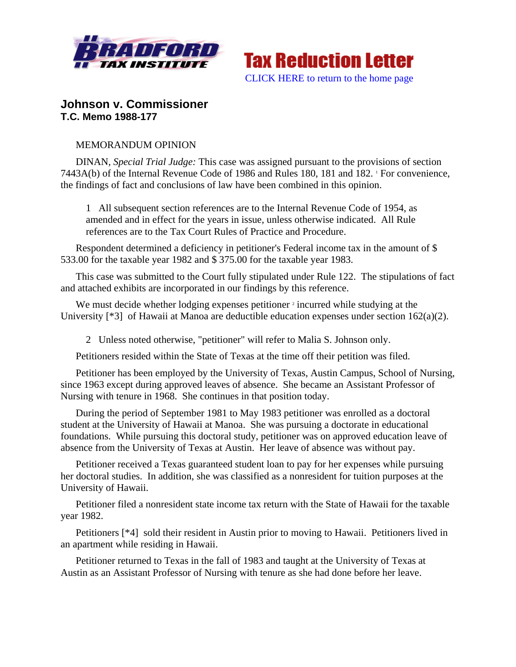



## **Johnson v. Commissioner T.C. Memo 1988-177**

## MEMORANDUM OPINION

DINAN, *Special Trial Judge:* This case was assigned pursuant to the provisions of section 7443A(b) of the Internal Revenue Code of 1986 and Rules 180, 181 and 182. For convenience, the findings of fact and conclusions of law have been combined in this opinion.

1 All subsequent section references are to the Internal Revenue Code of 1954, as amended and in effect for the years in issue, unless otherwise indicated. All Rule references are to the Tax Court Rules of Practice and Procedure.

Respondent determined a deficiency in petitioner's Federal income tax in the amount of \$ 533.00 for the taxable year 1982 and \$ 375.00 for the taxable year 1983.

This case was submitted to the Court fully stipulated under Rule 122. The stipulations of fact and attached exhibits are incorporated in our findings by this reference.

We must decide whether lodging expenses petitioner  $2$  incurred while studying at the University [\*3] of Hawaii at Manoa are deductible education expenses under section 162(a)(2).

2 Unless noted otherwise, "petitioner" will refer to Malia S. Johnson only.

Petitioners resided within the State of Texas at the time off their petition was filed.

Petitioner has been employed by the University of Texas, Austin Campus, School of Nursing, since 1963 except during approved leaves of absence. She became an Assistant Professor of Nursing with tenure in 1968. She continues in that position today.

During the period of September 1981 to May 1983 petitioner was enrolled as a doctoral student at the University of Hawaii at Manoa. She was pursuing a doctorate in educational foundations. While pursuing this doctoral study, petitioner was on approved education leave of absence from the University of Texas at Austin. Her leave of absence was without pay.

Petitioner received a Texas guaranteed student loan to pay for her expenses while pursuing her doctoral studies. In addition, she was classified as a nonresident for tuition purposes at the University of Hawaii.

Petitioner filed a nonresident state income tax return with the State of Hawaii for the taxable year 1982.

Petitioners [\*4] sold their resident in Austin prior to moving to Hawaii. Petitioners lived in an apartment while residing in Hawaii.

Petitioner returned to Texas in the fall of 1983 and taught at the University of Texas at Austin as an Assistant Professor of Nursing with tenure as she had done before her leave.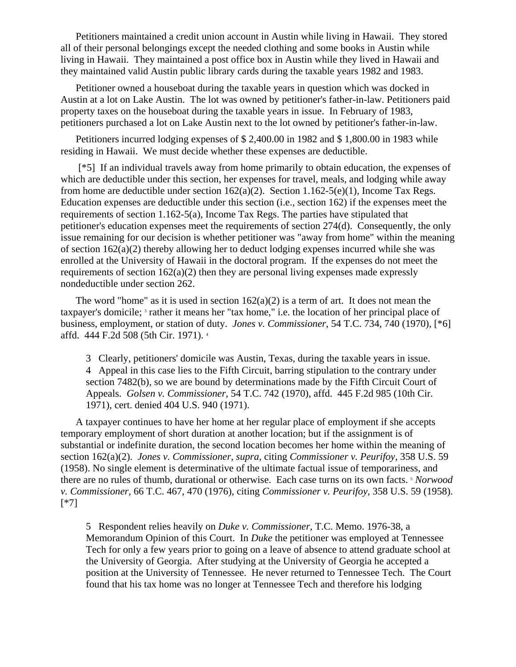Petitioners maintained a credit union account in Austin while living in Hawaii. They stored all of their personal belongings except the needed clothing and some books in Austin while living in Hawaii. They maintained a post office box in Austin while they lived in Hawaii and they maintained valid Austin public library cards during the taxable years 1982 and 1983.

Petitioner owned a houseboat during the taxable years in question which was docked in Austin at a lot on Lake Austin. The lot was owned by petitioner's father-in-law. Petitioners paid property taxes on the houseboat during the taxable years in issue. In February of 1983, petitioners purchased a lot on Lake Austin next to the lot owned by petitioner's father-in-law.

Petitioners incurred lodging expenses of \$ 2,400.00 in 1982 and \$ 1,800.00 in 1983 while residing in Hawaii. We must decide whether these expenses are deductible.

 [\*5] If an individual travels away from home primarily to obtain education, the expenses of which are deductible under this section, her expenses for travel, meals, and lodging while away from home are deductible under section 162(a)(2). Section 1.162-5(e)(1), Income Tax Regs. Education expenses are deductible under this section (i.e., section 162) if the expenses meet the requirements of section 1.162-5(a), Income Tax Regs. The parties have stipulated that petitioner's education expenses meet the requirements of section 274(d). Consequently, the only issue remaining for our decision is whether petitioner was "away from home" within the meaning of section 162(a)(2) thereby allowing her to deduct lodging expenses incurred while she was enrolled at the University of Hawaii in the doctoral program. If the expenses do not meet the requirements of section  $162(a)(2)$  then they are personal living expenses made expressly nondeductible under section 262.

The word "home" as it is used in section  $162(a)(2)$  is a term of art. It does not mean the taxpayer's domicile; <sup>3</sup> rather it means her "tax home," i.e. the location of her principal place of business, employment, or station of duty. *Jones v. Commissioner,* 54 T.C. 734, 740 (1970), [\*6] affd. 444 F.2d 508 (5th Cir. 1971). 4

3 Clearly, petitioners' domicile was Austin, Texas, during the taxable years in issue. 4 Appeal in this case lies to the Fifth Circuit, barring stipulation to the contrary under section 7482(b), so we are bound by determinations made by the Fifth Circuit Court of Appeals. *Golsen v. Commissioner,* 54 T.C. 742 (1970), affd. 445 F.2d 985 (10th Cir. 1971), cert. denied 404 U.S. 940 (1971).

A taxpayer continues to have her home at her regular place of employment if she accepts temporary employment of short duration at another location; but if the assignment is of substantial or indefinite duration, the second location becomes her home within the meaning of section 162(a)(2). *Jones v. Commissioner, supra,* citing *Commissioner v. Peurifoy,* 358 U.S. 59 (1958). No single element is determinative of the ultimate factual issue of temporariness, and there are no rules of thumb, durational or otherwise. Each case turns on its own facts. 5 *Norwood v. Commissioner,* 66 T.C. 467, 470 (1976), citing *Commissioner v. Peurifoy,* 358 U.S. 59 (1958). [\*7]

5 Respondent relies heavily on *Duke v. Commissioner,* T.C. Memo. 1976-38, a Memorandum Opinion of this Court. In *Duke* the petitioner was employed at Tennessee Tech for only a few years prior to going on a leave of absence to attend graduate school at the University of Georgia. After studying at the University of Georgia he accepted a position at the University of Tennessee. He never returned to Tennessee Tech. The Court found that his tax home was no longer at Tennessee Tech and therefore his lodging